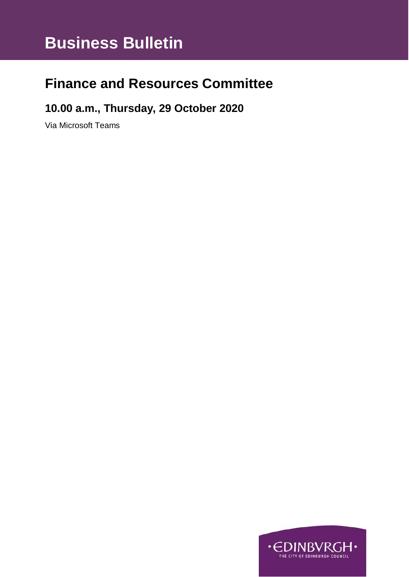# **Business Bulletin**

# **Finance and Resources Committee**

### **10.00 a.m., Thursday, 29 October 2020**

Via Microsoft Teams

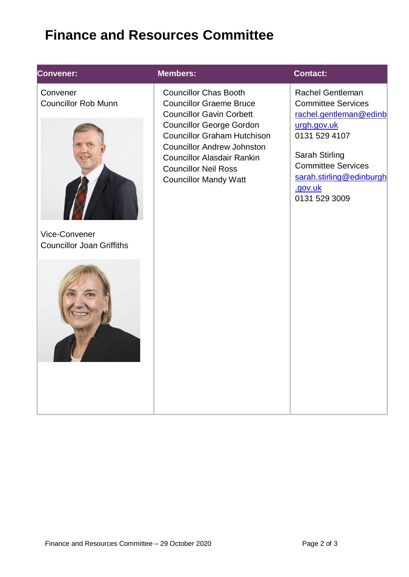# **Finance and Resources Committee**

### **Convener:**

**Convener:** Convener Councillor Rob Munn



Vice-Convener Councillor Joan Griffiths



#### **Members: Contact:**

Councillor Chas Booth Councillor Graeme Bruce Councillor Gavin Corbett Councillor George Gordon Councillor Graham Hutchison Councillor Andrew Johnston Councillor Alasdair Rankin Councillor Neil Ross Councillor Mandy Watt

[Rachel](mailto:Blair.Ritchie@edinburgh.gov.uk) Gentleman Committee Services [rachel.gentleman@edinb](mailto:rachel.gentleman@edinburgh.gov.uk) [urgh.gov.uk](mailto:rachel.gentleman@edinburgh.gov.uk) 0131 529 4107

Sarah Stirling Committee Services [sarah.stirling@edinburgh](mailto:sarah.stirling@edinburgh.gov.uk) [.gov.uk](mailto:sarah.stirling@edinburgh.gov.uk) 0131 529 3009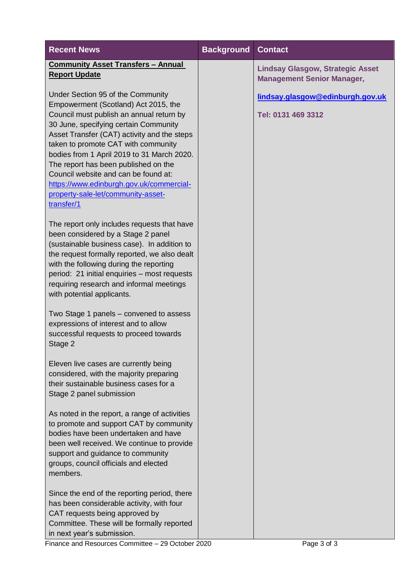| <b>Recent News</b>                                                                                                                                                                                                                                                                                                                                                                                                                            | <b>Background</b> | <b>Contact</b>                                                               |
|-----------------------------------------------------------------------------------------------------------------------------------------------------------------------------------------------------------------------------------------------------------------------------------------------------------------------------------------------------------------------------------------------------------------------------------------------|-------------------|------------------------------------------------------------------------------|
| <b>Community Asset Transfers - Annual</b><br><b>Report Update</b>                                                                                                                                                                                                                                                                                                                                                                             |                   | <b>Lindsay Glasgow, Strategic Asset</b><br><b>Management Senior Manager,</b> |
| Under Section 95 of the Community                                                                                                                                                                                                                                                                                                                                                                                                             |                   | lindsay.glasgow@edinburgh.gov.uk                                             |
| Empowerment (Scotland) Act 2015, the<br>Council must publish an annual return by<br>30 June, specifying certain Community<br>Asset Transfer (CAT) activity and the steps<br>taken to promote CAT with community<br>bodies from 1 April 2019 to 31 March 2020.<br>The report has been published on the<br>Council website and can be found at:<br>https://www.edinburgh.gov.uk/commercial-<br>property-sale-let/community-asset-<br>transfer/1 |                   | Tel: 0131 469 3312                                                           |
| The report only includes requests that have<br>been considered by a Stage 2 panel<br>(sustainable business case). In addition to<br>the request formally reported, we also dealt<br>with the following during the reporting<br>period: 21 initial enquiries - most requests<br>requiring research and informal meetings<br>with potential applicants.                                                                                         |                   |                                                                              |
| Two Stage 1 panels – convened to assess<br>expressions of interest and to allow<br>successful requests to proceed towards<br>Stage 2                                                                                                                                                                                                                                                                                                          |                   |                                                                              |
| Eleven live cases are currently being<br>considered, with the majority preparing<br>their sustainable business cases for a<br>Stage 2 panel submission                                                                                                                                                                                                                                                                                        |                   |                                                                              |
| As noted in the report, a range of activities<br>to promote and support CAT by community<br>bodies have been undertaken and have<br>been well received. We continue to provide<br>support and guidance to community<br>groups, council officials and elected<br>members.                                                                                                                                                                      |                   |                                                                              |
| Since the end of the reporting period, there<br>has been considerable activity, with four<br>CAT requests being approved by<br>Committee. These will be formally reported<br>in next year's submission.                                                                                                                                                                                                                                       |                   |                                                                              |